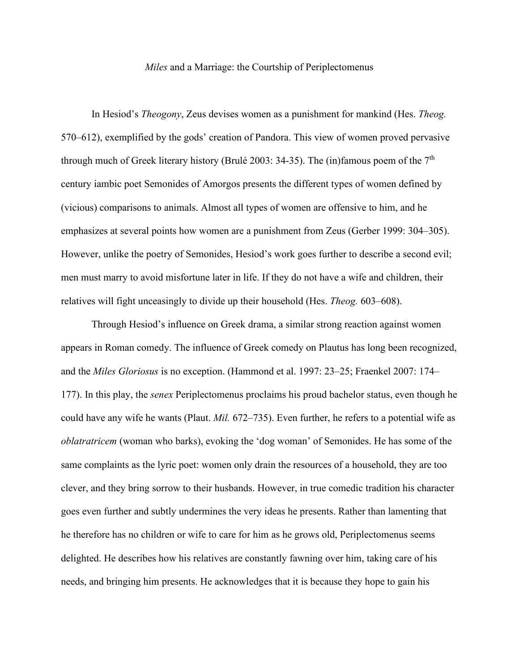## *Miles* and a Marriage: the Courtship of Periplectomenus

In Hesiod's *Theogony*, Zeus devises women as a punishment for mankind (Hes. *Theog.*  570–612), exemplified by the gods' creation of Pandora. This view of women proved pervasive through much of Greek literary history (Brulé 2003: 34-35). The (in)famous poem of the  $7<sup>th</sup>$ century iambic poet Semonides of Amorgos presents the different types of women defined by (vicious) comparisons to animals. Almost all types of women are offensive to him, and he emphasizes at several points how women are a punishment from Zeus (Gerber 1999: 304–305). However, unlike the poetry of Semonides, Hesiod's work goes further to describe a second evil; men must marry to avoid misfortune later in life. If they do not have a wife and children, their relatives will fight unceasingly to divide up their household (Hes. *Theog.* 603–608).

Through Hesiod's influence on Greek drama, a similar strong reaction against women appears in Roman comedy. The influence of Greek comedy on Plautus has long been recognized, and the *Miles Gloriosus* is no exception. (Hammond et al. 1997: 23–25; Fraenkel 2007: 174– 177). In this play, the *senex* Periplectomenus proclaims his proud bachelor status, even though he could have any wife he wants (Plaut. *Mil.* 672–735). Even further, he refers to a potential wife as *oblatratricem* (woman who barks), evoking the 'dog woman' of Semonides. He has some of the same complaints as the lyric poet: women only drain the resources of a household, they are too clever, and they bring sorrow to their husbands. However, in true comedic tradition his character goes even further and subtly undermines the very ideas he presents. Rather than lamenting that he therefore has no children or wife to care for him as he grows old, Periplectomenus seems delighted. He describes how his relatives are constantly fawning over him, taking care of his needs, and bringing him presents. He acknowledges that it is because they hope to gain his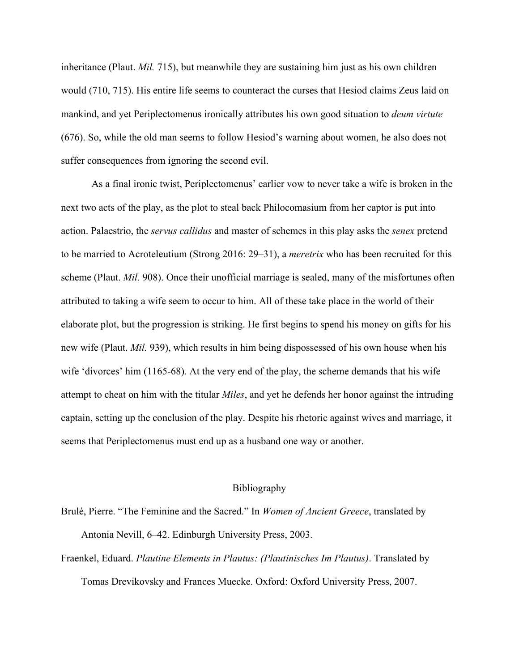inheritance (Plaut. *Mil.* 715), but meanwhile they are sustaining him just as his own children would (710, 715). His entire life seems to counteract the curses that Hesiod claims Zeus laid on mankind, and yet Periplectomenus ironically attributes his own good situation to *deum virtute* (676). So, while the old man seems to follow Hesiod's warning about women, he also does not suffer consequences from ignoring the second evil.

As a final ironic twist, Periplectomenus' earlier vow to never take a wife is broken in the next two acts of the play, as the plot to steal back Philocomasium from her captor is put into action. Palaestrio, the *servus callidus* and master of schemes in this play asks the *senex* pretend to be married to Acroteleutium (Strong 2016: 29–31), a *meretrix* who has been recruited for this scheme (Plaut. *Mil.* 908). Once their unofficial marriage is sealed, many of the misfortunes often attributed to taking a wife seem to occur to him. All of these take place in the world of their elaborate plot, but the progression is striking. He first begins to spend his money on gifts for his new wife (Plaut. *Mil.* 939), which results in him being dispossessed of his own house when his wife 'divorces' him (1165-68). At the very end of the play, the scheme demands that his wife attempt to cheat on him with the titular *Miles*, and yet he defends her honor against the intruding captain, setting up the conclusion of the play. Despite his rhetoric against wives and marriage, it seems that Periplectomenus must end up as a husband one way or another.

## Bibliography

- Brulé, Pierre. "The Feminine and the Sacred." In *Women of Ancient Greece*, translated by Antonia Nevill, 6–42. Edinburgh University Press, 2003.
- Fraenkel, Eduard. *Plautine Elements in Plautus: (Plautinisches Im Plautus)*. Translated by Tomas Drevikovsky and Frances Muecke. Oxford: Oxford University Press, 2007.